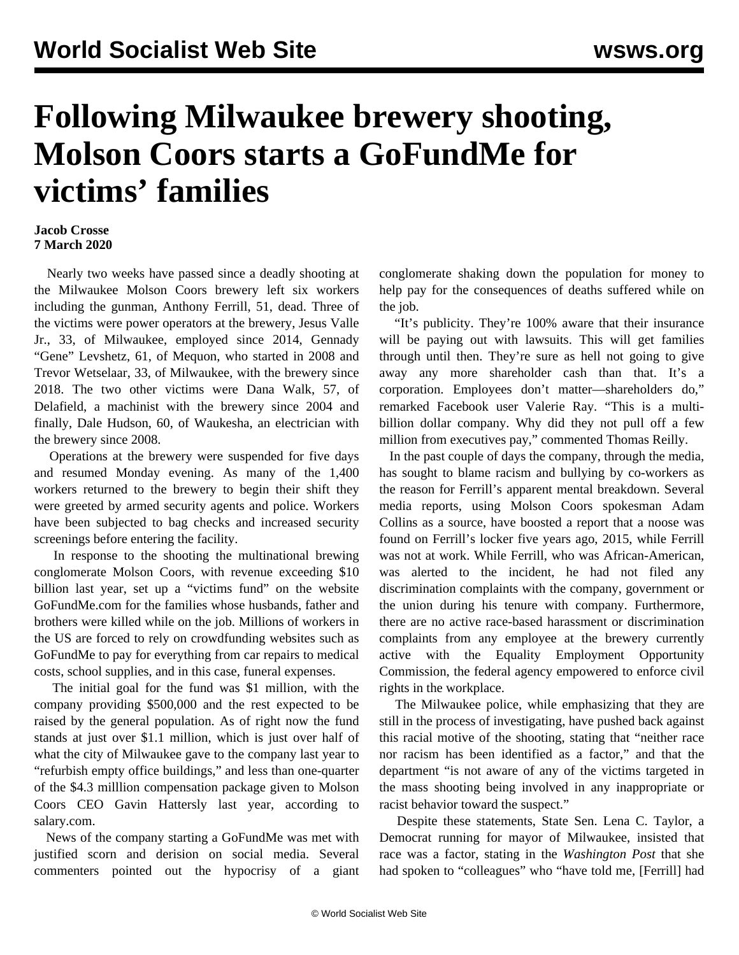## **Following Milwaukee brewery shooting, Molson Coors starts a GoFundMe for victims' families**

## **Jacob Crosse 7 March 2020**

 Nearly two weeks have passed since a deadly shooting at the Milwaukee Molson Coors brewery left six workers including the gunman, Anthony Ferrill, 51, dead. Three of the victims were power operators at the brewery, Jesus Valle Jr., 33, of Milwaukee, employed since 2014, Gennady "Gene" Levshetz, 61, of Mequon, who started in 2008 and Trevor Wetselaar, 33, of Milwaukee, with the brewery since 2018. The two other victims were Dana Walk, 57, of Delafield, a machinist with the brewery since 2004 and finally, Dale Hudson, 60, of Waukesha, an electrician with the brewery since 2008.

 Operations at the brewery were suspended for five days and resumed Monday evening. As many of the 1,400 workers returned to the brewery to begin their shift they were greeted by armed security agents and police. Workers have been subjected to bag checks and increased security screenings before entering the facility.

 In response to the shooting the multinational brewing conglomerate Molson Coors, with revenue exceeding \$10 billion last year, set up a "victims fund" on the website GoFundMe.com for the families whose husbands, father and brothers were killed while on the job. Millions of workers in the US are forced to rely on crowdfunding websites such as GoFundMe to pay for everything from car repairs to medical costs, school supplies, and in this case, funeral expenses.

 The initial goal for the fund was \$1 million, with the company providing \$500,000 and the rest expected to be raised by the general population. As of right now the fund stands at just over \$1.1 million, which is just over half of what the city of Milwaukee gave to the company last year to "refurbish empty office buildings," and less than one-quarter of the \$4.3 milllion compensation package given to Molson Coors CEO Gavin Hattersly last year, according to salary.com.

 News of the company starting a GoFundMe was met with justified scorn and derision on social media. Several commenters pointed out the hypocrisy of a giant conglomerate shaking down the population for money to help pay for the consequences of deaths suffered while on the job.

 "It's publicity. They're 100% aware that their insurance will be paying out with lawsuits. This will get families through until then. They're sure as hell not going to give away any more shareholder cash than that. It's a corporation. Employees don't matter—shareholders do," remarked Facebook user Valerie Ray. "This is a multibillion dollar company. Why did they not pull off a few million from executives pay," commented Thomas Reilly.

 In the past couple of days the company, through the media, has sought to blame racism and bullying by co-workers as the reason for Ferrill's apparent mental breakdown. Several media reports, using Molson Coors spokesman Adam Collins as a source, have boosted a report that a noose was found on Ferrill's locker five years ago, 2015, while Ferrill was not at work. While Ferrill, who was African-American, was alerted to the incident, he had not filed any discrimination complaints with the company, government or the union during his tenure with company. Furthermore, there are no active race-based harassment or discrimination complaints from any employee at the brewery currently active with the Equality Employment Opportunity Commission, the federal agency empowered to enforce civil rights in the workplace.

 The Milwaukee police, while emphasizing that they are still in the process of investigating, have pushed back against this racial motive of the shooting, stating that "neither race nor racism has been identified as a factor," and that the department "is not aware of any of the victims targeted in the mass shooting being involved in any inappropriate or racist behavior toward the suspect."

 Despite these statements, State Sen. Lena C. Taylor, a Democrat running for mayor of Milwaukee, insisted that race was a factor, stating in the *Washington Post* that she had spoken to "colleagues" who "have told me, [Ferrill] had